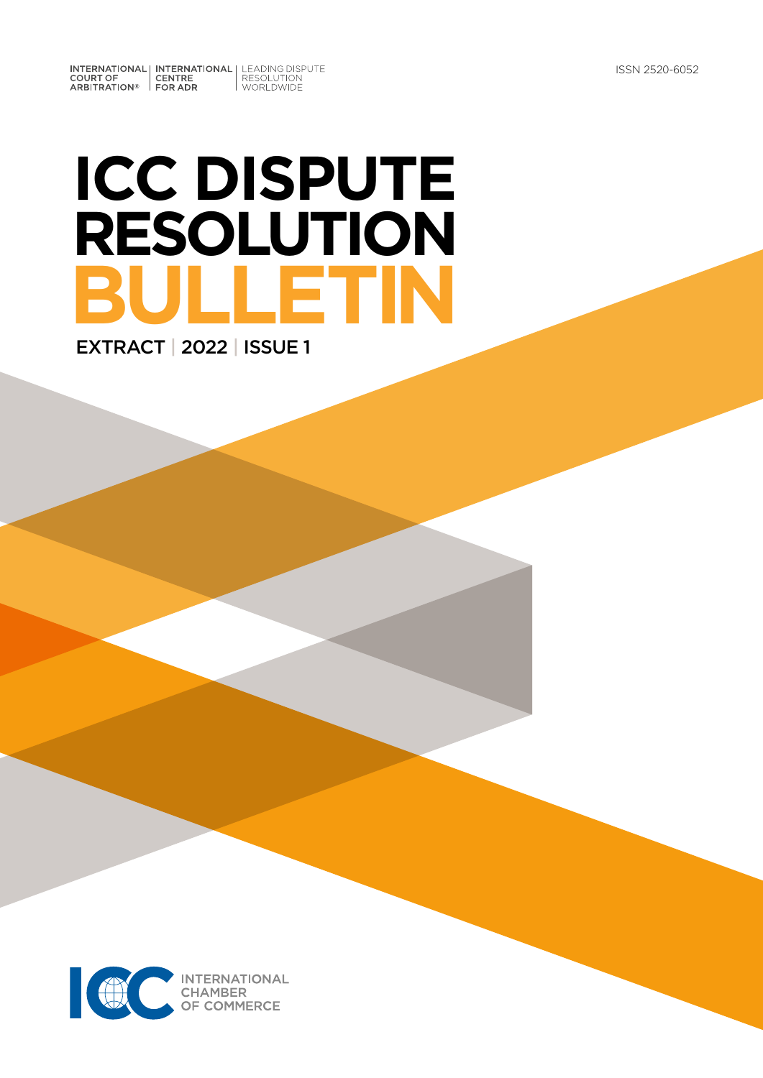INTERNATIONAL INTERNATIONAL LEADING DISPUTE<br>
COURT OF CENTRE RESOLUTION<br>
ARBITRATION® FOR ADR

# **ICC DISPUTE RESOLUTION BULLETIN** EXTRACT | 2022 | ISSUE 1

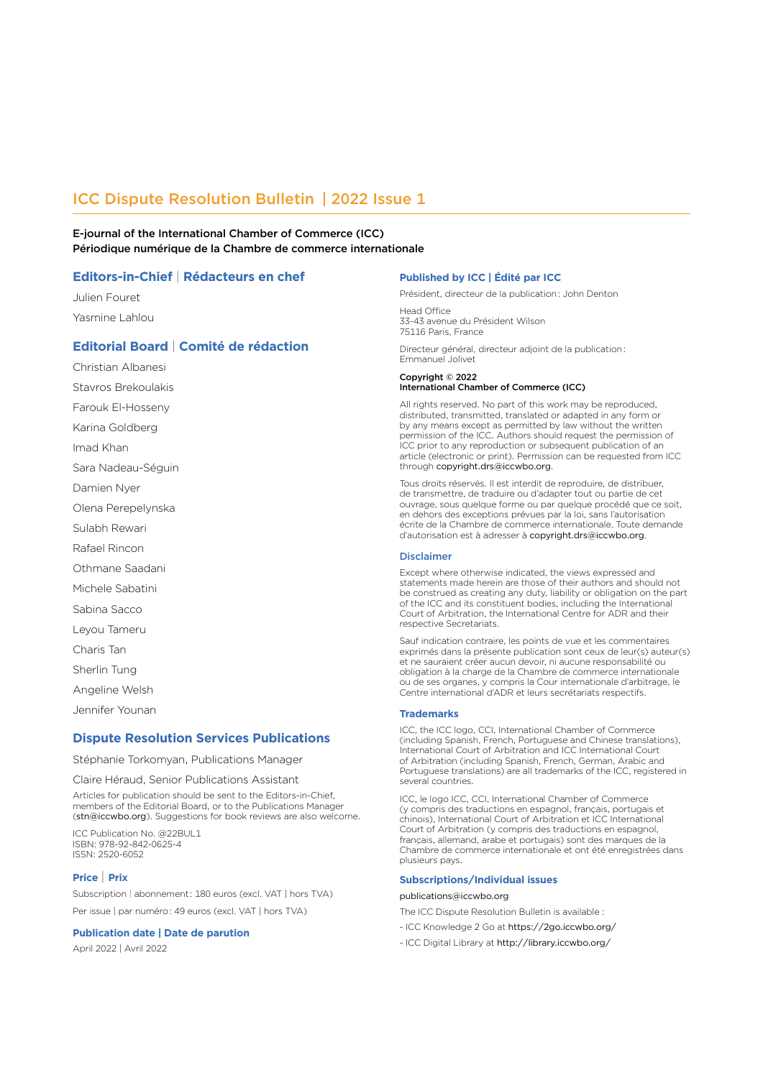# ICC Dispute Resolution Bulletin | 2022 Issue 1

E-journal of the International Chamber of Commerce (ICC) Périodique numérique de la Chambre de commerce internationale

## **Editors-in-Chief** | **Rédacteurs en chef**

Julien Fouret Yasmine Lahlou

# **Editorial Board** | **Comité de rédaction**

Christian Albanesi Stavros Brekoulakis

Farouk El-Hosseny

Karina Goldberg

Imad Khan

Sara Nadeau-Séguin

Damien Nyer

Olena Perepelynska

Sulabh Rewari

Rafael Rincon

Othmane Saadani

Michele Sabatini

Sabina Sacco

Leyou Tameru

Charis Tan

Sherlin Tung

Angeline Welsh

Jennifer Younan

## **Dispute Resolution Services Publications**

Stéphanie Torkomyan, Publications Manager

Claire Héraud, Senior Publications Assistant

Articles for publication should be sent to the Editors-in-Chief, members of the Editorial Board, or to the Publications Manager (stn@iccwbo.org). Suggestions for book reviews are also welcome.

ICC Publication No. @22BUL1 ISBN: 978-92-842-0625-4 ISSN: 2520-6052

## **Price** | **Prix**

Subscription | abonnement : 180 euros (excl. VAT | hors TVA) Per issue | par numéro : 49 euros (excl. VAT | hors TVA)

#### **Publication date | Date de parution**

April 2022 | Avril 2022

#### **Published by ICC | Édité par ICC**

Président, directeur de la publication : John Denton

Head Office 33-43 avenue du Président Wilson 75116 Paris, France

Directeur général, directeur adjoint de la publication : Emmanuel Jolivet

#### Copyright © 2022

#### International Chamber of Commerce (ICC)

All rights reserved. No part of this work may be reproduced, distributed, transmitted, translated or adapted in any form or by any means except as permitted by law without the written permission of the ICC. Authors should request the permission of ICC prior to any reproduction or subsequent publication of an article (electronic or print). Permission can be requested from ICC through copyright.drs@iccwbo.org.

Tous droits réservés. Il est interdit de reproduire, de distribuer, de transmettre, de traduire ou d'adapter tout ou partie de cet ouvrage, sous quelque forme ou par quelque procédé que ce soit, en dehors des exceptions prévues par la loi, sans l'autorisation écrite de la Chambre de commerce internationale. Toute demande d'autorisation est à adresser à copyright.drs@iccwbo.org.

#### Disclaimer

Except where otherwise indicated, the views expressed and statements made herein are those of their authors and should not be construed as creating any duty, liability or obligation on the part of the ICC and its constituent bodies, including the International Court of Arbitration, the International Centre for ADR and their respective Secretariats.

Sauf indication contraire, les points de vue et les commentaires exprimés dans la présente publication sont ceux de leur(s) auteur(s) et ne sauraient créer aucun devoir, ni aucune responsabilité ou obligation à la charge de la Chambre de commerce internationale ou de ses organes, y compris la Cour internationale d'arbitrage, le Centre international d'ADR et leurs secrétariats respectifs.

#### **Trademarks**

ICC, the ICC logo, CCI, International Chamber of Commerce (including Spanish, French, Portuguese and Chinese translations), International Court of Arbitration and ICC International Court of Arbitration (including Spanish, French, German, Arabic and Portuguese translations) are all trademarks of the ICC, registered in several countries.

ICC, le logo ICC, CCI, International Chamber of Commerce (y compris des traductions en espagnol, français, portugais et chinois), International Court of Arbitration et ICC International Court of Arbitration (y compris des traductions en espagnol, français, allemand, arabe et portugais) sont des marques de la Chambre de commerce internationale et ont été enregistrées dans plusieurs pays.

#### **Subscriptions/Individual issues**

#### publications@iccwbo.org

The ICC Dispute Resolution Bulletin is available :

- ICC Knowledge 2 Go at <https://2go.iccwbo.org/>
- ICC Digital Library at http://library.iccwbo.org/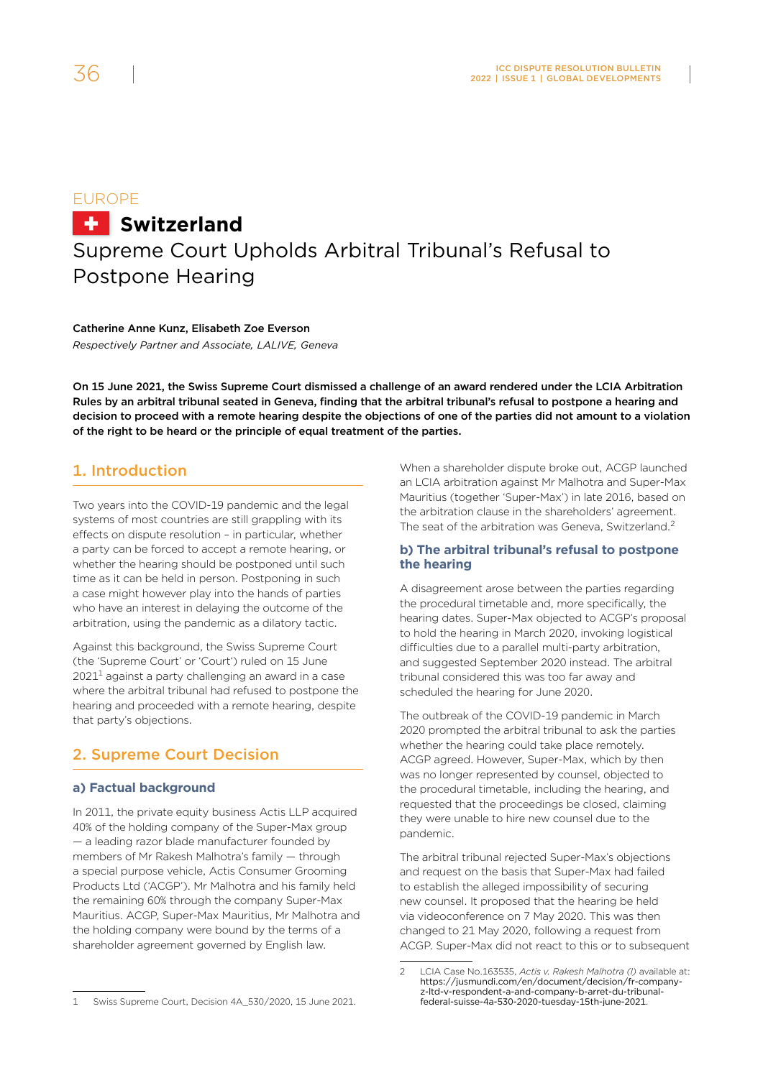# EUROPE **H** Switzerland Supreme Court Upholds Arbitral Tribunal's Refusal to Postpone Hearing

Catherine Anne Kunz, Elisabeth Zoe Everson *Respectively Partner and Associate, LALIVE, Geneva*

On 15 June 2021, the Swiss Supreme Court dismissed a challenge of an award rendered under the LCIA Arbitration Rules by an arbitral tribunal seated in Geneva, finding that the arbitral tribunal's refusal to postpone a hearing and decision to proceed with a remote hearing despite the objections of one of the parties did not amount to a violation of the right to be heard or the principle of equal treatment of the parties.

# 1. Introduction

Two years into the COVID-19 pandemic and the legal systems of most countries are still grappling with its effects on dispute resolution – in particular, whether a party can be forced to accept a remote hearing, or whether the hearing should be postponed until such time as it can be held in person. Postponing in such a case might however play into the hands of parties who have an interest in delaying the outcome of the arbitration, using the pandemic as a dilatory tactic.

Against this background, the Swiss Supreme Court (the 'Supreme Court' or 'Court') ruled on 15 June  $2021<sup>1</sup>$  against a party challenging an award in a case where the arbitral tribunal had refused to postpone the hearing and proceeded with a remote hearing, despite that party's objections.

# 2. Supreme Court Decision

# **a) Factual background**

In 2011, the private equity business Actis LLP acquired 40% of the holding company of the Super-Max group — a leading razor blade manufacturer founded by members of Mr Rakesh Malhotra's family — through a special purpose vehicle, Actis Consumer Grooming Products Ltd ('ACGP'). Mr Malhotra and his family held the remaining 60% through the company Super-Max Mauritius. ACGP, Super-Max Mauritius, Mr Malhotra and the holding company were bound by the terms of a shareholder agreement governed by English law.

1 Swiss Supreme Court, Decision 4A\_530/2020, 15 June 2021.

When a shareholder dispute broke out, ACGP launched an LCIA arbitration against Mr Malhotra and Super-Max Mauritius (together 'Super-Max') in late 2016, based on the arbitration clause in the shareholders' agreement. The seat of the arbitration was Geneva, Switzerland.<sup>2</sup>

# **b) The arbitral tribunal's refusal to postpone the hearing**

A disagreement arose between the parties regarding the procedural timetable and, more specifically, the hearing dates. Super-Max objected to ACGP's proposal to hold the hearing in March 2020, invoking logistical difficulties due to a parallel multi-party arbitration, and suggested September 2020 instead. The arbitral tribunal considered this was too far away and scheduled the hearing for June 2020.

The outbreak of the COVID-19 pandemic in March 2020 prompted the arbitral tribunal to ask the parties whether the hearing could take place remotely. ACGP agreed. However, Super-Max, which by then was no longer represented by counsel, objected to the procedural timetable, including the hearing, and requested that the proceedings be closed, claiming they were unable to hire new counsel due to the pandemic.

The arbitral tribunal rejected Super-Max's objections and request on the basis that Super-Max had failed to establish the alleged impossibility of securing new counsel. It proposed that the hearing be held via videoconference on 7 May 2020. This was then changed to 21 May 2020, following a request from ACGP. Super-Max did not react to this or to subsequent

<sup>2</sup> LCIA Case No.163535, *Actis v. Rakesh Malhotra (I)* available at: [https://jusmundi.com/en/document/decision/fr-company](https://jusmundi.com/en/document/decision/fr-company-z-ltd-v-respondent-a-and-company-b-arret-du-tribunal-federal-suisse-4a-530-2020-tuesday-15th-june-2021)[z-ltd-v-respondent-a-and-company-b-arret-du-tribunal](https://jusmundi.com/en/document/decision/fr-company-z-ltd-v-respondent-a-and-company-b-arret-du-tribunal-federal-suisse-4a-530-2020-tuesday-15th-june-2021)[federal-suisse-4a-530-2020-tuesday-15th-june-2021](https://jusmundi.com/en/document/decision/fr-company-z-ltd-v-respondent-a-and-company-b-arret-du-tribunal-federal-suisse-4a-530-2020-tuesday-15th-june-2021).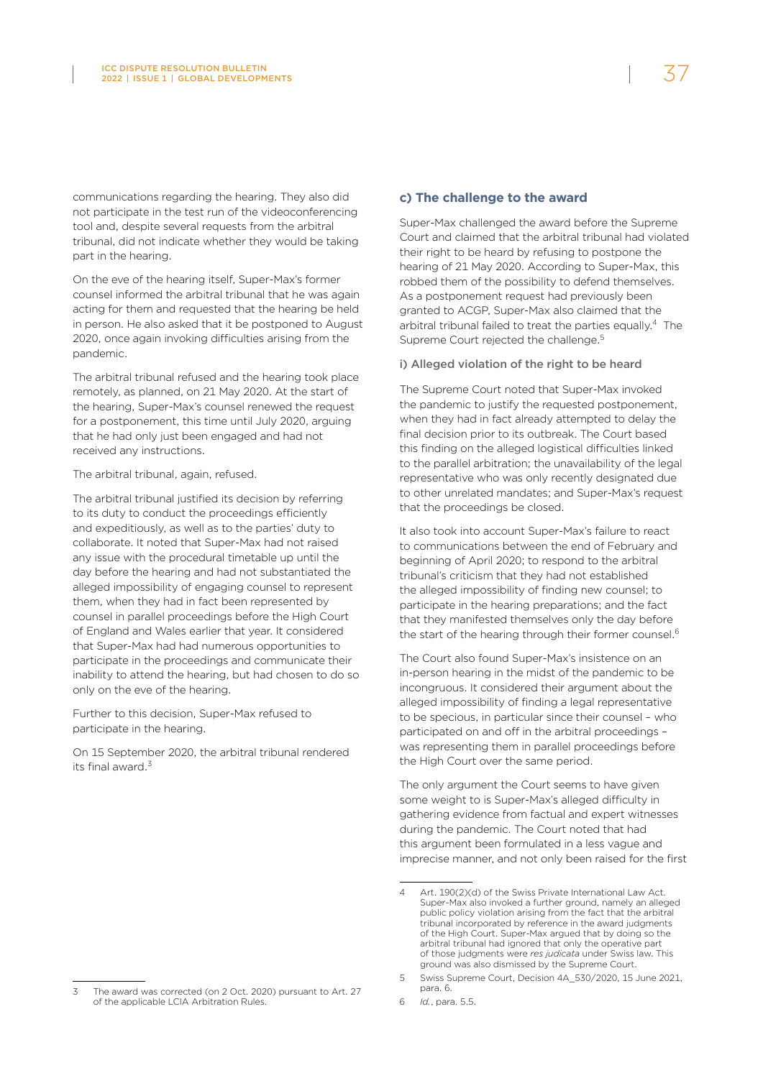communications regarding the hearing. They also did not participate in the test run of the videoconferencing tool and, despite several requests from the arbitral tribunal, did not indicate whether they would be taking part in the hearing.

On the eve of the hearing itself, Super-Max's former counsel informed the arbitral tribunal that he was again acting for them and requested that the hearing be held in person. He also asked that it be postponed to August 2020, once again invoking difficulties arising from the pandemic.

The arbitral tribunal refused and the hearing took place remotely, as planned, on 21 May 2020. At the start of the hearing, Super-Max's counsel renewed the request for a postponement, this time until July 2020, arguing that he had only just been engaged and had not received any instructions.

The arbitral tribunal, again, refused.

The arbitral tribunal justified its decision by referring to its duty to conduct the proceedings efficiently and expeditiously, as well as to the parties' duty to collaborate. It noted that Super-Max had not raised any issue with the procedural timetable up until the day before the hearing and had not substantiated the alleged impossibility of engaging counsel to represent them, when they had in fact been represented by counsel in parallel proceedings before the High Court of England and Wales earlier that year. It considered that Super-Max had had numerous opportunities to participate in the proceedings and communicate their inability to attend the hearing, but had chosen to do so only on the eve of the hearing.

Further to this decision, Super-Max refused to participate in the hearing.

On 15 September 2020, the arbitral tribunal rendered its final award 3

# **c) The challenge to the award**

Super-Max challenged the award before the Supreme Court and claimed that the arbitral tribunal had violated their right to be heard by refusing to postpone the hearing of 21 May 2020. According to Super-Max, this robbed them of the possibility to defend themselves. As a postponement request had previously been granted to ACGP, Super-Max also claimed that the arbitral tribunal failed to treat the parties equally.<sup>4</sup> The Supreme Court rejected the challenge.<sup>5</sup>

## i) Alleged violation of the right to be heard

The Supreme Court noted that Super-Max invoked the pandemic to justify the requested postponement, when they had in fact already attempted to delay the final decision prior to its outbreak. The Court based this finding on the alleged logistical difficulties linked to the parallel arbitration; the unavailability of the legal representative who was only recently designated due to other unrelated mandates; and Super-Max's request that the proceedings be closed.

It also took into account Super-Max's failure to react to communications between the end of February and beginning of April 2020; to respond to the arbitral tribunal's criticism that they had not established the alleged impossibility of finding new counsel; to participate in the hearing preparations; and the fact that they manifested themselves only the day before the start of the hearing through their former counsel.<sup>6</sup>

The Court also found Super-Max's insistence on an in-person hearing in the midst of the pandemic to be incongruous. It considered their argument about the alleged impossibility of finding a legal representative to be specious, in particular since their counsel – who participated on and off in the arbitral proceedings – was representing them in parallel proceedings before the High Court over the same period.

The only argument the Court seems to have given some weight to is Super-Max's alleged difficulty in gathering evidence from factual and expert witnesses during the pandemic. The Court noted that had this argument been formulated in a less vague and imprecise manner, and not only been raised for the first

<sup>4</sup> Art. 190(2)(d) of the Swiss Private International Law Act. Super-Max also invoked a further ground, namely an alleged public policy violation arising from the fact that the arbitral tribunal incorporated by reference in the award judgments of the High Court. Super-Max argued that by doing so the arbitral tribunal had ignored that only the operative part of those judgments were *res judicata* under Swiss law. This ground was also dismissed by the Supreme Court.

<sup>5</sup> Swiss Supreme Court, Decision 4A\_530/2020, 15 June 2021, para. 6.

<sup>6</sup> *Id.*, para. 5.5.

The award was corrected (on 2 Oct. 2020) pursuant to Art. 27 of the applicable LCIA Arbitration Rules.